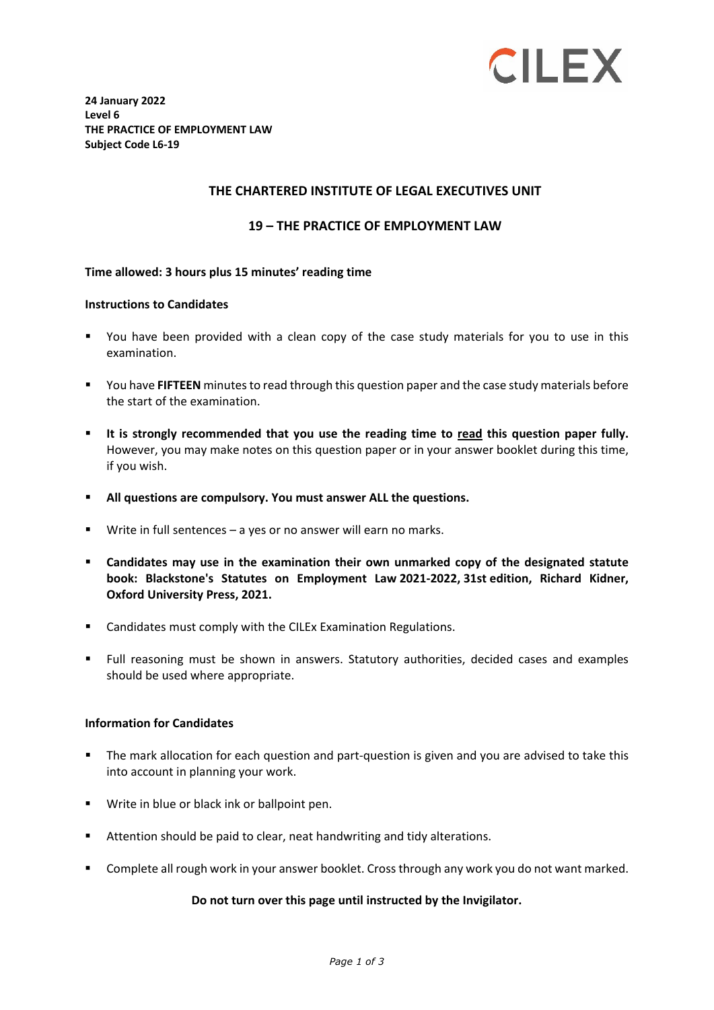

**24 January 2022 Level 6 THE PRACTICE OF EMPLOYMENT LAW Subject Code L6-19**

### **THE CHARTERED INSTITUTE OF LEGAL EXECUTIVES UNIT**

### **19 – THE PRACTICE OF EMPLOYMENT LAW**

#### **Time allowed: 3 hours plus 15 minutes' reading time**

#### **Instructions to Candidates**

- You have been provided with a clean copy of the case study materials for you to use in this examination.
- You have **FIFTEEN** minutes to read through this question paper and the case study materials before the start of the examination.
- **It is strongly recommended that you use the reading time to read this question paper fully.** However, you may make notes on this question paper or in your answer booklet during this time, if you wish.
- **All questions are compulsory. You must answer ALL the questions.**
- Write in full sentences a yes or no answer will earn no marks.
- **Candidates may use in the examination their own unmarked copy of the designated statute book: Blackstone's Statutes on Employment Law 2021-2022, 31st edition, Richard Kidner, Oxford University Press, 2021.**
- **EXEC** Candidates must comply with the CILEx Examination Regulations.
- Full reasoning must be shown in answers. Statutory authorities, decided cases and examples should be used where appropriate.

#### **Information for Candidates**

- The mark allocation for each question and part-question is given and you are advised to take this into account in planning your work.
- Write in blue or black ink or ballpoint pen.
- Attention should be paid to clear, neat handwriting and tidy alterations.
- **Complete all rough work in your answer booklet. Cross through any work you do not want marked.**

#### **Do not turn over this page until instructed by the Invigilator.**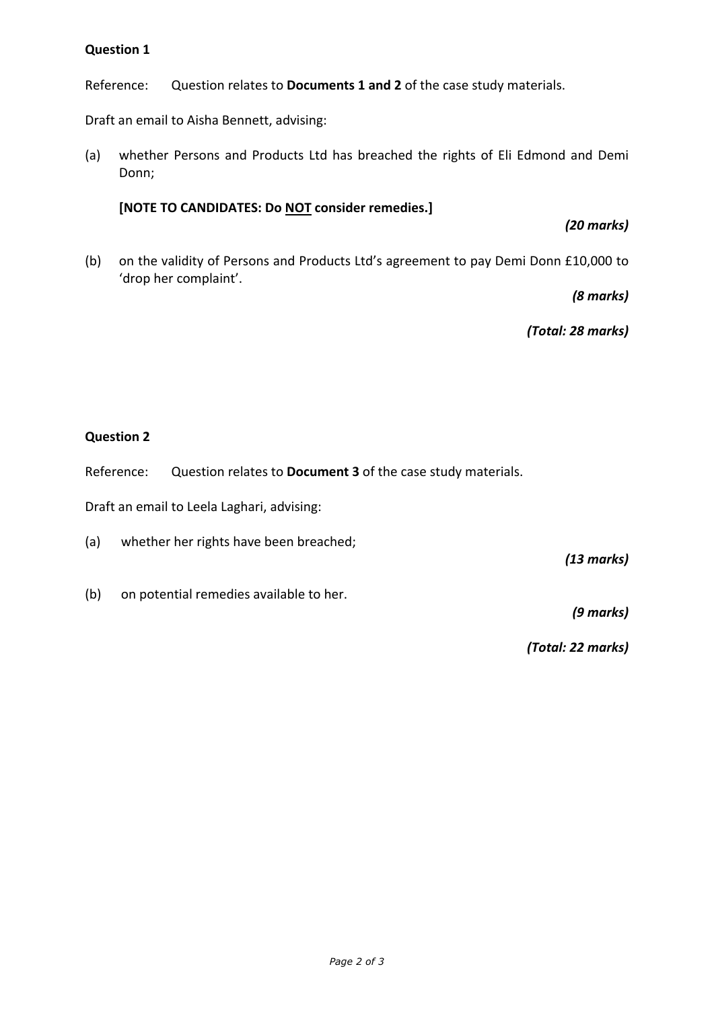# **Question 1**

Reference: Question relates to **Documents 1 and 2** of the case study materials.

Draft an email to Aisha Bennett, advising:

(a) whether Persons and Products Ltd has breached the rights of Eli Edmond and Demi Donn;

**[NOTE TO CANDIDATES: Do NOT consider remedies.]**

*(20 marks)*

(b) on the validity of Persons and Products Ltd's agreement to pay Demi Donn £10,000 to 'drop her complaint'.

*(8 marks)*

*(Total: 28 marks)*

## **Question 2**

Reference: Question relates to **Document 3** of the case study materials.

Draft an email to Leela Laghari, advising:

(a) whether her rights have been breached;

*(13 marks)*

(b) on potential remedies available to her.

*(9 marks)*

*(Total: 22 marks)*